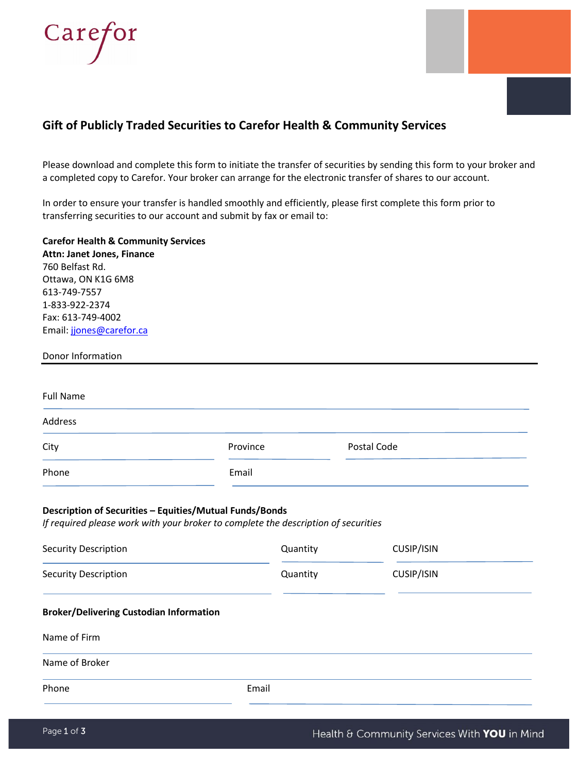

# **Gift of Publicly Traded Securities to Carefor Health & Community Services**

Please download and complete this form to initiate the transfer of securities by sending this form to your broker and a completed copy to Carefor. Your broker can arrange for the electronic transfer of shares to our account.

In order to ensure your transfer is handled smoothly and efficiently, please first complete this form prior to transferring securities to our account and submit by fax or email to:

**Carefor Health & Community Services Attn: Janet Jones, Finance** 760 Belfast Rd. Ottawa, ON K1G 6M8 613-749-7557 1-833-922-2374 Fax: 613-749-4002 Email: [jjones@carefor.ca](mailto:jjones@carefor.ca)

| Donor Information |          |             |  |
|-------------------|----------|-------------|--|
| <b>Full Name</b>  |          |             |  |
| Address           |          |             |  |
| City              | Province | Postal Code |  |
| Phone             | Email    |             |  |

### **Description of Securities – Equities/Mutual Funds/Bonds**

*If required please work with your broker to complete the description of securities*

| <b>Security Description</b>                    | Quantity | CUSIP/ISIN |  |  |  |  |
|------------------------------------------------|----------|------------|--|--|--|--|
| <b>Security Description</b>                    | Quantity | CUSIP/ISIN |  |  |  |  |
| <b>Broker/Delivering Custodian Information</b> |          |            |  |  |  |  |
| Name of Firm                                   |          |            |  |  |  |  |
| Name of Broker                                 |          |            |  |  |  |  |
| Phone                                          | Email    |            |  |  |  |  |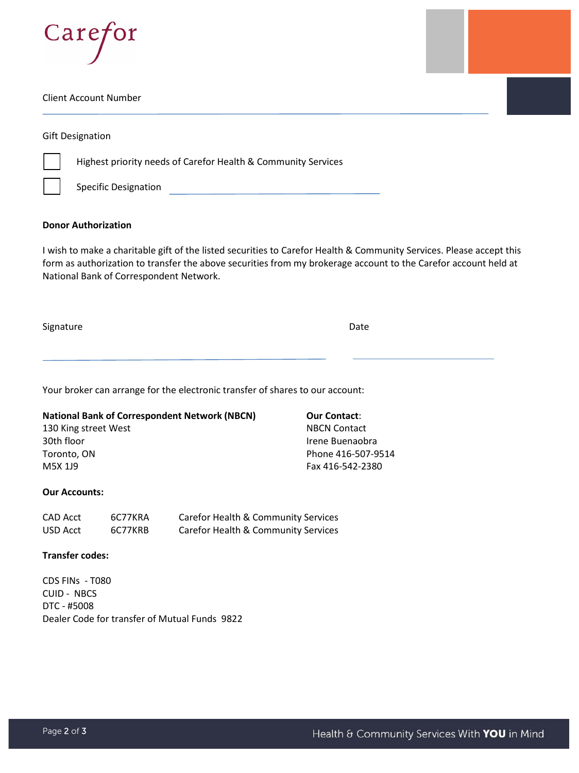

#### Client Account Number

|  | <b>Gift Designation</b> |
|--|-------------------------|
|--|-------------------------|



Highest priority needs of Carefor Health & Community Services

Specific Designation **Secure 2018** 

### **Donor Authorization**

I wish to make a charitable gift of the listed securities to Carefor Health & Community Services. Please accept this form as authorization to transfer the above securities from my brokerage account to the Carefor account held at National Bank of Correspondent Network.

Signature Date

Your broker can arrange for the electronic transfer of shares to our account:

## **National Bank of Correspondent Network (NBCN)** 130 King street West 30th floor Toronto, ON M5X 1J9

### **Our Accounts:**

| CAD Acct | 6C77KRA | Carefor Health & Community Services |
|----------|---------|-------------------------------------|
| USD Acct | 6C77KRB | Carefor Health & Community Services |

### **Transfer codes:**

CDS FINs - T080 CUID - NBCS DTC - #5008 Dealer Code for transfer of Mutual Funds 9822 **Our Contact**: NBCN Contact Irene Buenaobra Phone 416-507-9514 Fax 416-542-2380